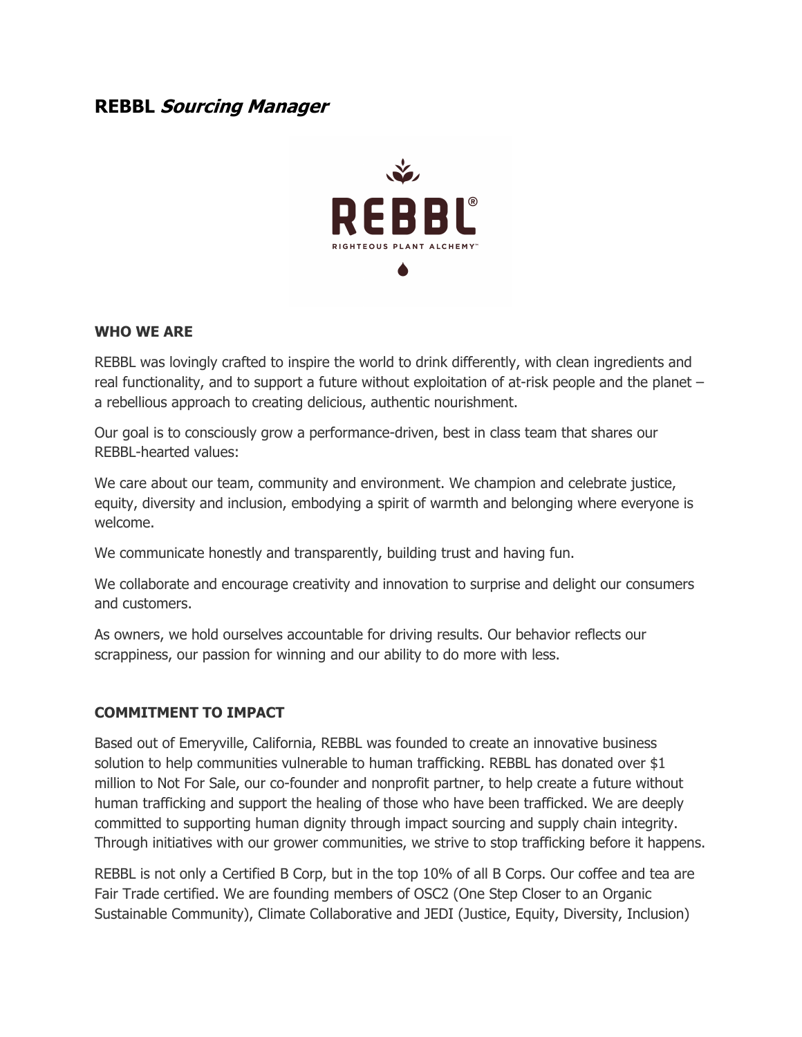# **REBBL Sourcing Manager**



#### **WHO WE ARE**

REBBL was lovingly crafted to inspire the world to drink differently, with clean ingredients and real functionality, and to support a future without exploitation of at-risk people and the planet – a rebellious approach to creating delicious, authentic nourishment.

Our goal is to consciously grow a performance-driven, best in class team that shares our REBBL-hearted values:

We care about our team, community and environment. We champion and celebrate justice, equity, diversity and inclusion, embodying a spirit of warmth and belonging where everyone is welcome.

We communicate honestly and transparently, building trust and having fun.

We collaborate and encourage creativity and innovation to surprise and delight our consumers and customers.

As owners, we hold ourselves accountable for driving results. Our behavior reflects our scrappiness, our passion for winning and our ability to do more with less.

#### **COMMITMENT TO IMPACT**

Based out of Emeryville, California, REBBL was founded to create an innovative business solution to help communities vulnerable to human trafficking. REBBL has donated over \$1 million to Not For Sale, our co-founder and nonprofit partner, to help create a future without human trafficking and support the healing of those who have been trafficked. We are deeply committed to supporting human dignity through impact sourcing and supply chain integrity. Through initiatives with our grower communities, we strive to stop trafficking before it happens.

REBBL is not only a Certified B Corp, but in the top 10% of all B Corps. Our coffee and tea are Fair Trade certified. We are founding members of OSC2 (One Step Closer to an Organic Sustainable Community), Climate Collaborative and JEDI (Justice, Equity, Diversity, Inclusion)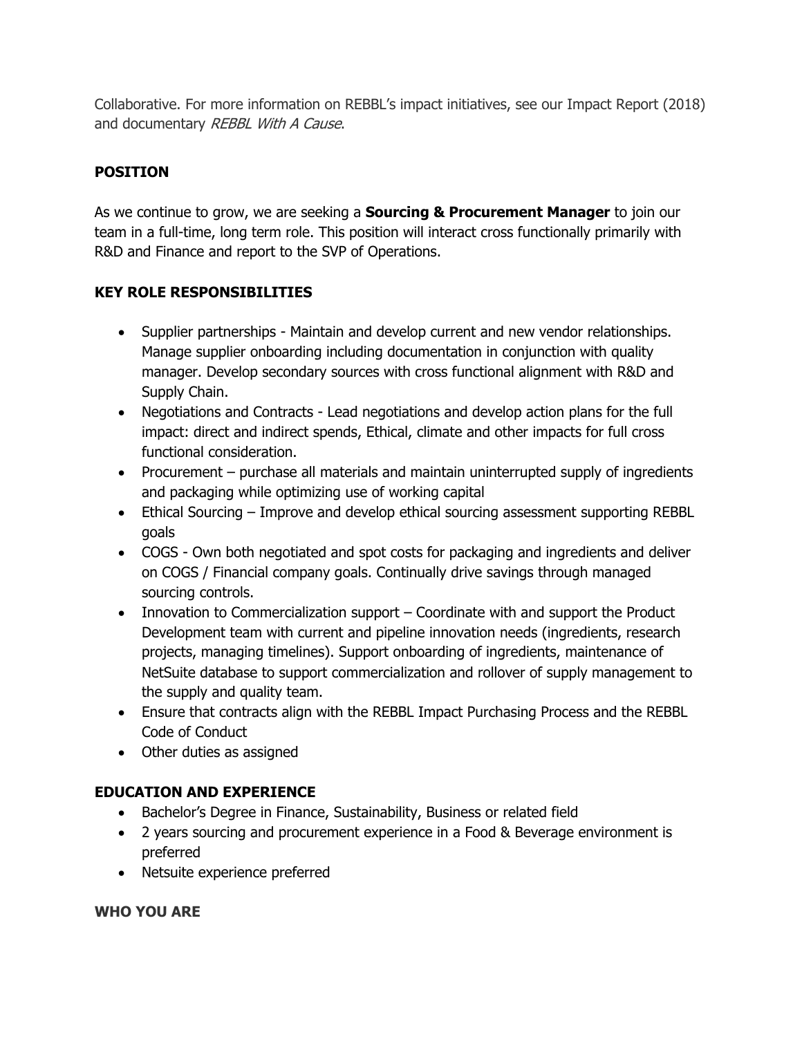Collaborative. For more information on REBBL's impact initiatives, see our Impact Report (2018) and documentary REBBL With A Cause.

## **POSITION**

As we continue to grow, we are seeking a **Sourcing & Procurement Manager** to join our team in a full-time, long term role. This position will interact cross functionally primarily with R&D and Finance and report to the SVP of Operations.

### **KEY ROLE RESPONSIBILITIES**

- Supplier partnerships Maintain and develop current and new vendor relationships. Manage supplier onboarding including documentation in conjunction with quality manager. Develop secondary sources with cross functional alignment with R&D and Supply Chain.
- Negotiations and Contracts Lead negotiations and develop action plans for the full impact: direct and indirect spends, Ethical, climate and other impacts for full cross functional consideration.
- Procurement purchase all materials and maintain uninterrupted supply of ingredients and packaging while optimizing use of working capital
- Ethical Sourcing Improve and develop ethical sourcing assessment supporting REBBL goals
- COGS Own both negotiated and spot costs for packaging and ingredients and deliver on COGS / Financial company goals. Continually drive savings through managed sourcing controls.
- Innovation to Commercialization support Coordinate with and support the Product Development team with current and pipeline innovation needs (ingredients, research projects, managing timelines). Support onboarding of ingredients, maintenance of NetSuite database to support commercialization and rollover of supply management to the supply and quality team.
- Ensure that contracts align with the REBBL Impact Purchasing Process and the REBBL Code of Conduct
- Other duties as assigned

### **EDUCATION AND EXPERIENCE**

- Bachelor's Degree in Finance, Sustainability, Business or related field
- 2 years sourcing and procurement experience in a Food & Beverage environment is preferred
- Netsuite experience preferred

#### **WHO YOU ARE**